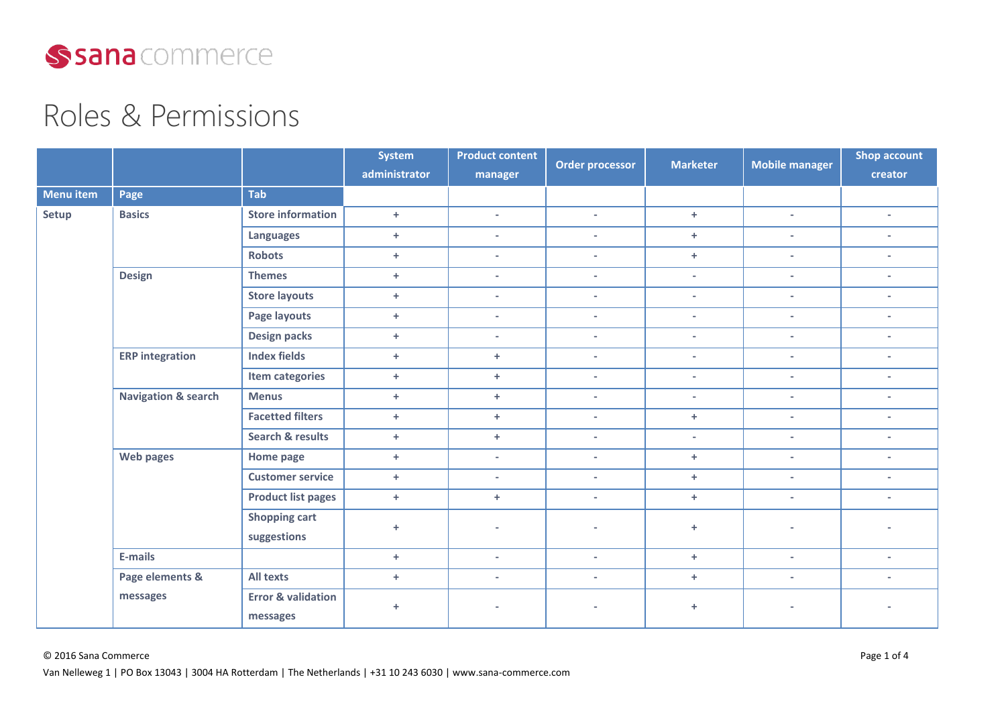

## Roles & Permissions

|                  |                                |                                           | <b>System</b> | <b>Product content</b>   | Order processor          | <b>Marketer</b>          | <b>Mobile manager</b>    | <b>Shop account</b>         |
|------------------|--------------------------------|-------------------------------------------|---------------|--------------------------|--------------------------|--------------------------|--------------------------|-----------------------------|
|                  |                                |                                           | administrator | manager                  |                          |                          |                          | creator                     |
| <b>Menu item</b> | Page                           | Tab                                       |               |                          |                          |                          |                          |                             |
| Setup            | <b>Basics</b>                  | <b>Store information</b>                  | $\ddot{}$     | $\overline{\phantom{a}}$ | $\blacksquare$           | $+$                      | $\overline{\phantom{a}}$ | $\sim$                      |
|                  |                                | <b>Languages</b>                          | $\ddot{}$     | $\sim$                   | $\sim$                   | $+$                      | $\overline{\phantom{a}}$ | $\overline{\phantom{a}}$    |
|                  |                                | <b>Robots</b>                             | $+$           | $\sim$                   | $\sim$                   | $+$                      | $\overline{\phantom{a}}$ | $\mathcal{L}_{\mathcal{A}}$ |
|                  | <b>Design</b>                  | <b>Themes</b>                             | $+$           | $\mathcal{L}$            | $\sim$                   | $\overline{\phantom{a}}$ | $\overline{\phantom{a}}$ | $\sim$                      |
|                  |                                | <b>Store layouts</b>                      | $+$           | $\sim$                   | $\sim$                   | $\overline{\phantom{a}}$ | $\overline{\phantom{a}}$ | $\overline{\phantom{a}}$    |
|                  |                                | Page layouts                              | $\ddot{}$     | $\overline{\phantom{a}}$ | $\overline{\phantom{a}}$ | $\blacksquare$           | $\sim$                   | $\overline{\phantom{a}}$    |
|                  |                                | <b>Design packs</b>                       | $\ddot{}$     | $\sim$                   | $\sim$                   | $\overline{\phantom{a}}$ | $\sim$                   | $\overline{\phantom{a}}$    |
|                  | <b>ERP</b> integration         | <b>Index fields</b>                       | $\ddot{}$     | $+$                      | $\sim$                   | $\overline{\phantom{a}}$ | $\sim$                   | $\sim$                      |
|                  |                                | Item categories                           | $\ddot{}$     | $+$                      | $\sim$                   | $\overline{\phantom{a}}$ | $\overline{\phantom{a}}$ | $\sim$                      |
|                  | <b>Navigation &amp; search</b> | <b>Menus</b>                              | $\ddot{}$     | $+$                      | $\sim$                   | $\overline{\phantom{a}}$ | $\sim$                   | $\sim$                      |
|                  |                                | <b>Facetted filters</b>                   | $+$           | $+$                      | $\sim$                   | $+$                      | $\sim$                   | $\sim$                      |
|                  |                                | <b>Search &amp; results</b>               | $\ddot{}$     | $+$                      | $\sim$                   | $\overline{\phantom{a}}$ | $\sim$                   | $\sim$                      |
|                  | Web pages                      | Home page                                 | $\ddot{}$     | $\sim$                   | $\sim$                   | $+$                      | $\sim$                   | $\overline{\phantom{a}}$    |
|                  |                                | <b>Customer service</b>                   | $\pm$         | $\sim$                   | $\sim$                   | $+$                      | $\sim$                   | $\sim$                      |
|                  |                                | <b>Product list pages</b>                 | $\ddot{}$     | $+$                      | $\sim$                   | $+$                      | $\sim$                   | $\sim$                      |
|                  |                                | <b>Shopping cart</b><br>suggestions       | $\ddot{}$     |                          | $\overline{\phantom{a}}$ | $\ddot{}$                | $\overline{\phantom{a}}$ |                             |
|                  | E-mails                        |                                           | $\ddot{}$     | $\sim$                   | $\sim$                   | $+$                      | $\overline{\phantom{a}}$ | $\sim$                      |
|                  | Page elements &                | <b>All texts</b>                          | $\pm$         | $\sim$                   | $\sim$                   | $+$                      | $\sim$                   | $\sim$                      |
|                  | messages                       | <b>Error &amp; validation</b><br>messages | $\ddot{}$     | $\overline{\phantom{a}}$ | ٠                        | $\ddot{}$                | $\sim$                   | $\overline{\phantom{a}}$    |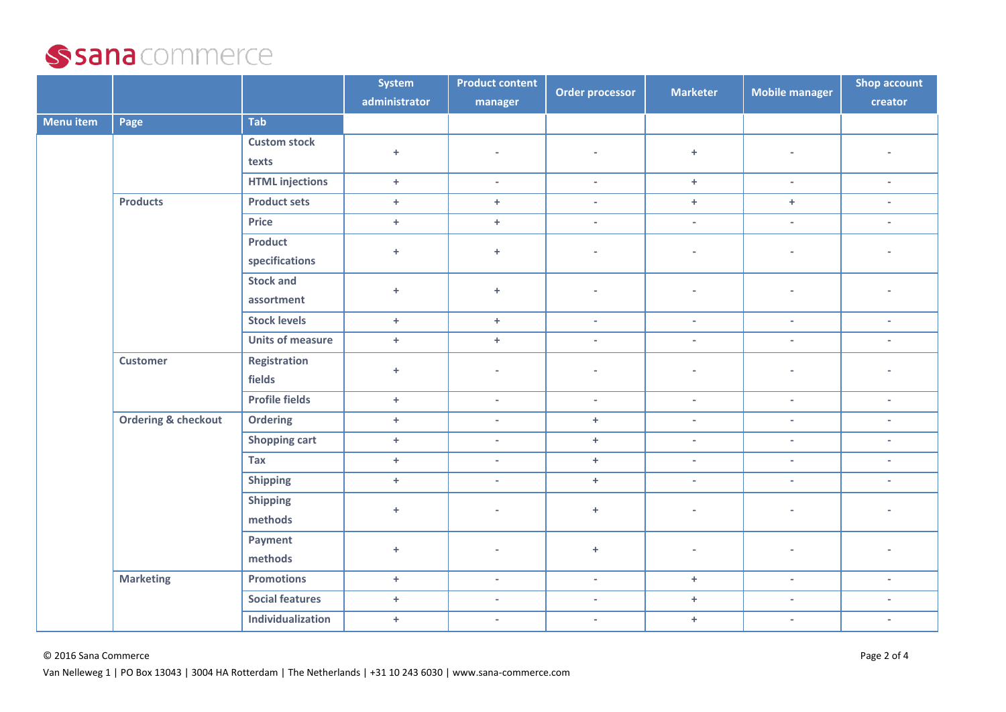## Ssana commerce

|                  |                                |                         | System        | <b>Product content</b>   | <b>Order processor</b>      | <b>Marketer</b>             | <b>Mobile manager</b>       | <b>Shop account</b>         |
|------------------|--------------------------------|-------------------------|---------------|--------------------------|-----------------------------|-----------------------------|-----------------------------|-----------------------------|
|                  |                                |                         | administrator | manager                  |                             |                             |                             | creator                     |
| <b>Menu</b> item | Page                           | Tab                     |               |                          |                             |                             |                             |                             |
|                  |                                | <b>Custom stock</b>     | $\pm$         |                          | $\overline{\phantom{a}}$    | $+$                         | ÷,                          | $\overline{\phantom{a}}$    |
|                  |                                | texts                   |               |                          |                             |                             |                             |                             |
|                  |                                | <b>HTML</b> injections  | $+$           | $\overline{\phantom{a}}$ | $\sim$                      | $+$                         | $\overline{\phantom{a}}$    | $\sim$                      |
|                  | <b>Products</b>                | <b>Product sets</b>     | $\pm$         | $+$                      | $\blacksquare$              | $+$                         | $\pm$                       | $\overline{\phantom{a}}$    |
|                  |                                | <b>Price</b>            | $+$           | $+$                      | $\mathcal{L}_{\mathcal{A}}$ | $\overline{\phantom{a}}$    | $\mathcal{L}_{\mathcal{A}}$ | $\sim$                      |
|                  |                                | <b>Product</b>          | $\ddot{}$     | $\ddot{}$                | $\overline{a}$              | $\overline{\phantom{a}}$    | $\overline{\phantom{a}}$    | $\overline{\phantom{a}}$    |
|                  |                                | specifications          |               |                          |                             |                             |                             |                             |
|                  |                                | <b>Stock and</b>        | $\ddot{}$     | $+$                      | $\overline{\phantom{a}}$    | $\overline{\phantom{a}}$    | ÷,                          |                             |
|                  |                                | assortment              |               |                          |                             |                             |                             |                             |
|                  |                                | <b>Stock levels</b>     | $+$           | $+$                      | $\overline{\phantom{a}}$    | $\sim$                      | $\mathcal{L}$               | $\sim$                      |
|                  |                                | <b>Units of measure</b> | $\pm$         | $+$                      | $\mathcal{L}$               | $\overline{\phantom{a}}$    | $\overline{\phantom{a}}$    | $\overline{\phantom{a}}$    |
|                  | <b>Customer</b>                | Registration            | $\pm$         | $\sim$                   | $\sim$                      | $\sim$                      | $\sim$                      | $\sim$                      |
|                  |                                | fields                  |               |                          |                             |                             |                             |                             |
|                  |                                | <b>Profile fields</b>   | $\pm$         | $\sim$                   | $\mathcal{L}$               | $\mathcal{L}^{\mathcal{L}}$ | $\mathcal{L}$               | $\mathcal{L}_{\mathcal{A}}$ |
|                  | <b>Ordering &amp; checkout</b> | <b>Ordering</b>         | $\pm$         | $\overline{\phantom{a}}$ | $+$                         | $\overline{\phantom{a}}$    | $\overline{\phantom{a}}$    | $\sim$                      |
|                  |                                | <b>Shopping cart</b>    | $\pm$         | $\overline{\phantom{a}}$ | $\pm$                       | $\sim$                      | $\overline{\phantom{a}}$    | $\overline{\phantom{a}}$    |
|                  |                                | Tax                     | $+$           | $\overline{\phantom{a}}$ | $+$                         | $\sim$                      | $\overline{\phantom{a}}$    | $\overline{\phantom{a}}$    |
|                  |                                | <b>Shipping</b>         | $\pm$         | $\overline{\phantom{a}}$ | $\pm$                       | $\overline{\phantom{a}}$    | $\overline{\phantom{a}}$    | $\overline{\phantom{a}}$    |
|                  |                                | <b>Shipping</b>         | $+$           | ٠                        | $\ddot{}$                   | $\sim$                      | ٠                           | $\bar{a}$                   |
|                  |                                | methods                 |               |                          |                             |                             |                             |                             |
|                  |                                | Payment                 | $\ddot{}$     | ٠                        | $\ddot{}$                   | $\overline{\phantom{a}}$    | $\overline{\phantom{a}}$    | ٠                           |
|                  |                                | methods                 |               |                          |                             |                             |                             |                             |
|                  | <b>Marketing</b>               | <b>Promotions</b>       | $\pm$         | $\overline{\phantom{a}}$ | $\overline{\phantom{a}}$    | $+$                         | $\overline{\phantom{a}}$    | $\overline{\phantom{a}}$    |
|                  |                                | <b>Social features</b>  | $+$           | $\sim$                   | $\overline{\phantom{a}}$    | $+$                         | $\overline{\phantom{a}}$    | $\overline{\phantom{a}}$    |
|                  |                                | Individualization       | $\pm$         | $\overline{\phantom{a}}$ | $\sim$                      | $\pm$                       | $\mathcal{L}_{\mathcal{A}}$ | $\mathcal{L}_{\mathcal{A}}$ |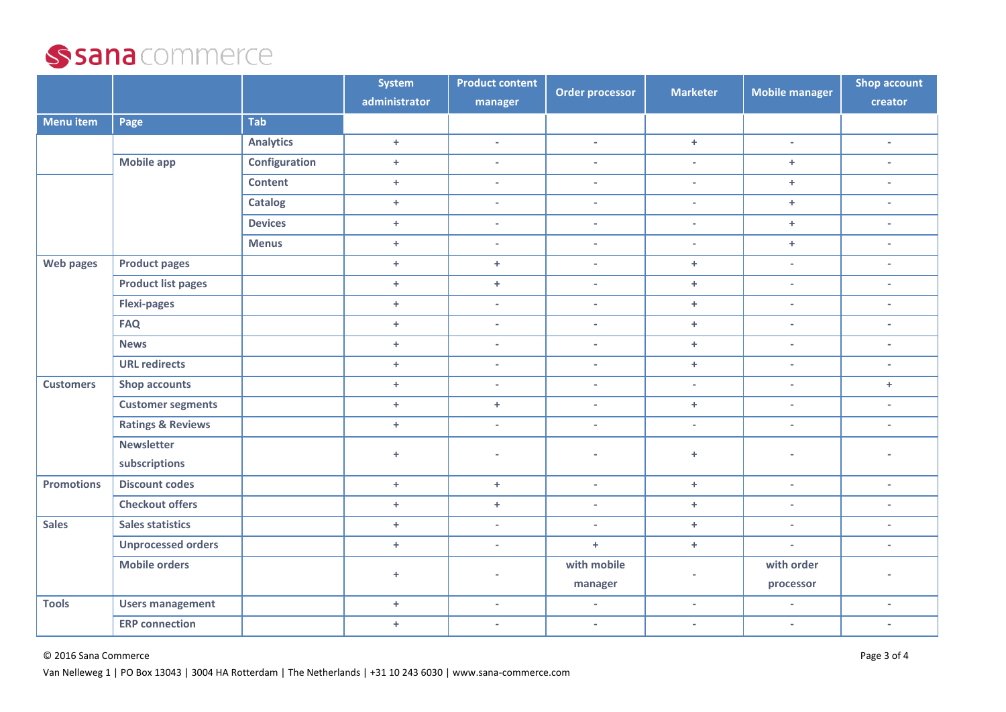## Ssana commerce

|                   |                              |                  | <b>System</b> | <b>Product content</b>      | <b>Order processor</b>   | <b>Marketer</b>          | <b>Mobile manager</b>       | <b>Shop account</b>      |
|-------------------|------------------------------|------------------|---------------|-----------------------------|--------------------------|--------------------------|-----------------------------|--------------------------|
|                   |                              |                  | administrator | manager                     |                          |                          |                             | creator                  |
| <b>Menu item</b>  | Page                         | <b>Tab</b>       |               |                             |                          |                          |                             |                          |
|                   |                              | <b>Analytics</b> | $+$           | $\overline{\phantom{a}}$    | $\sim$                   | $+$                      | $\sim$                      | $\overline{\phantom{a}}$ |
|                   | <b>Mobile app</b>            | Configuration    | $\ddot{}$     | $\mathcal{L}$               | $\overline{\phantom{a}}$ | $\sim$                   | $+$                         | $\overline{\phantom{a}}$ |
|                   |                              | <b>Content</b>   | $\ddot{}$     | $\overline{\phantom{a}}$    | $\overline{\phantom{a}}$ | $\overline{\phantom{a}}$ | $+$                         | $\overline{\phantom{a}}$ |
|                   |                              | <b>Catalog</b>   | $+$           | $\overline{\phantom{a}}$    | $\overline{\phantom{a}}$ | $\sim$                   | $+$                         | $\overline{\phantom{a}}$ |
|                   |                              | <b>Devices</b>   | $\ddot{}$     | $\overline{\phantom{a}}$    | $\overline{\phantom{a}}$ | $\sim$                   | $+$                         | $\overline{\phantom{a}}$ |
|                   |                              | <b>Menus</b>     | $\ddot{}$     | $\overline{\phantom{a}}$    | $\bar{a}$                | $\sim$                   | $+$                         | $\overline{\phantom{a}}$ |
| <b>Web pages</b>  | <b>Product pages</b>         |                  | $\ddot{}$     | $+$                         | $\overline{\phantom{a}}$ | $+$                      | $\overline{\phantom{a}}$    | $\overline{\phantom{a}}$ |
|                   | <b>Product list pages</b>    |                  | $\ddot{}$     | $+$                         | $\mathcal{L}$            | $\pm$                    | $\overline{\phantom{a}}$    | $\overline{\phantom{a}}$ |
|                   | <b>Flexi-pages</b>           |                  | $+$           | $\mathcal{L}$               | $\sim$                   | $+$                      | $\mathcal{L}_{\mathcal{A}}$ | $\overline{\phantom{a}}$ |
|                   | <b>FAQ</b>                   |                  | $+$           | $\overline{\phantom{a}}$    | $\overline{\phantom{a}}$ | $+$                      | $\overline{\phantom{a}}$    | $\overline{\phantom{a}}$ |
|                   | <b>News</b>                  |                  | $+$           | $\overline{\phantom{a}}$    | $\overline{\phantom{a}}$ | $+$                      | $\sim$                      | $\overline{\phantom{a}}$ |
|                   | <b>URL redirects</b>         |                  | $\ddot{}$     | $\overline{\phantom{a}}$    | $\bar{a}$                | $+$                      | $\sim$                      | $\overline{\phantom{a}}$ |
| <b>Customers</b>  | <b>Shop accounts</b>         |                  | $\ddot{}$     | $\mathcal{L}_{\mathcal{A}}$ | $\overline{\phantom{a}}$ | $\sim$                   | $\sim$                      | $\pm$                    |
|                   | <b>Customer segments</b>     |                  | $+$           | $+$                         | $\overline{\phantom{a}}$ | $+$                      | $\sim$                      | $\overline{\phantom{a}}$ |
|                   | <b>Ratings &amp; Reviews</b> |                  | $\ddot{}$     | $\overline{\phantom{a}}$    | $\overline{\phantom{a}}$ | $\overline{\phantom{a}}$ | $\overline{\phantom{a}}$    | $\overline{\phantom{a}}$ |
|                   | <b>Newsletter</b>            |                  | $\ddot{}$     | $\sim$                      | $\overline{\phantom{a}}$ | $+$                      | $\overline{\phantom{a}}$    | ٠                        |
|                   | subscriptions                |                  |               |                             |                          |                          |                             |                          |
| <b>Promotions</b> | <b>Discount codes</b>        |                  | $\ddot{}$     | $+$                         | $\bar{a}$                | $+$                      | $\overline{\phantom{a}}$    | $\overline{\phantom{a}}$ |
|                   | <b>Checkout offers</b>       |                  | $\ddot{}$     | $+$                         | $\overline{\phantom{a}}$ | $+$                      | $\sim$                      | $\overline{\phantom{a}}$ |
| <b>Sales</b>      | <b>Sales statistics</b>      |                  | $+$           | $\overline{\phantom{a}}$    | $\overline{\phantom{a}}$ | $\pm$                    | $\overline{\phantom{a}}$    | $\overline{\phantom{a}}$ |
|                   | <b>Unprocessed orders</b>    |                  | $+$           | $\overline{\phantom{a}}$    | $+$                      | $+$                      | i,                          | $\overline{\phantom{a}}$ |
|                   | <b>Mobile orders</b>         |                  | $\ddot{}$     | $\sim$                      | with mobile              | $\sim$                   | with order                  | ÷,                       |
|                   |                              |                  |               |                             | manager                  |                          | processor                   |                          |
| <b>Tools</b>      | <b>Users management</b>      |                  | $\ddot{}$     | $\overline{\phantom{a}}$    | $\overline{\phantom{a}}$ | $\overline{\phantom{a}}$ | $\overline{\phantom{a}}$    | $\overline{\phantom{a}}$ |
|                   | <b>ERP</b> connection        |                  | $\ddot{}$     | $\sim$                      | $\sim$                   | $\sim$                   | $\sim$                      | $\overline{\phantom{a}}$ |